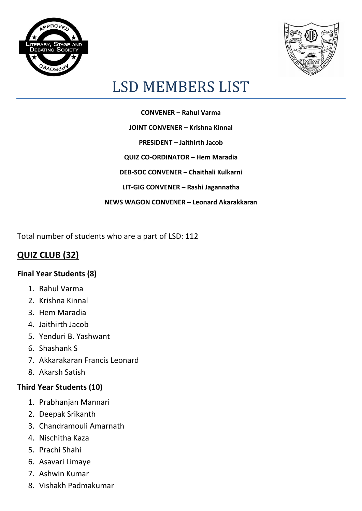



# LSD MEMBERS LIST

**CONVENER – Rahul Varma JOINT CONVENER – Krishna Kinnal PRESIDENT – Jaithirth Jacob QUIZ CO-ORDINATOR – Hem Maradia DEB-SOC CONVENER – Chaithali Kulkarni LIT-GIG CONVENER – Rashi Jagannatha NEWS WAGON CONVENER – Leonard Akarakkaran**

Total number of students who are a part of LSD: 112

## **QUIZ CLUB (32)**

#### **Final Year Students (8)**

- 1. Rahul Varma
- 2. Krishna Kinnal
- 3. Hem Maradia
- 4. Jaithirth Jacob
- 5. Yenduri B. Yashwant
- 6. Shashank S
- 7. Akkarakaran Francis Leonard
- 8. Akarsh Satish

#### **Third Year Students (10)**

- 1. Prabhanjan Mannari
- 2. Deepak Srikanth
- 3. Chandramouli Amarnath
- 4. Nischitha Kaza
- 5. Prachi Shahi
- 6. Asavari Limaye
- 7. Ashwin Kumar
- 8. Vishakh Padmakumar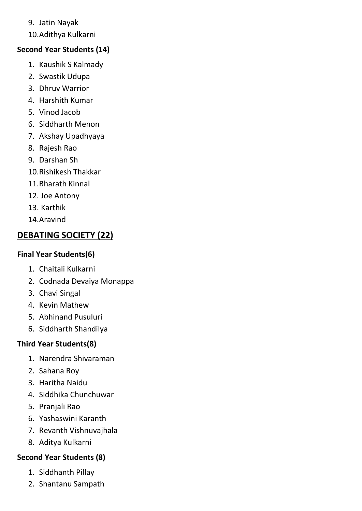#### 9. Jatin Nayak

10.Adithya Kulkarni

#### **Second Year Students (14)**

- 1. Kaushik S Kalmady
- 2. Swastik Udupa
- 3. Dhruv Warrior
- 4. Harshith Kumar
- 5. Vinod Jacob
- 6. Siddharth Menon
- 7. Akshay Upadhyaya
- 8. Rajesh Rao
- 9. Darshan Sh
- 10.Rishikesh Thakkar
- 11.Bharath Kinnal
- 12. Joe Antony
- 13. Karthik
- 14.Aravind

# **DEBATING SOCIETY (22)**

#### **Final Year Students(6)**

- 1. Chaitali Kulkarni
- 2. Codnada Devaiya Monappa
- 3. Chavi Singal
- 4. Kevin Mathew
- 5. Abhinand Pusuluri
- 6. Siddharth Shandilya

### **Third Year Students(8)**

- 1. Narendra Shivaraman
- 2. Sahana Roy
- 3. Haritha Naidu
- 4. Siddhika Chunchuwar
- 5. Pranjali Rao
- 6. Yashaswini Karanth
- 7. Revanth Vishnuvajhala
- 8. Aditya Kulkarni

#### **Second Year Students (8)**

- 1. Siddhanth Pillay
- 2. Shantanu Sampath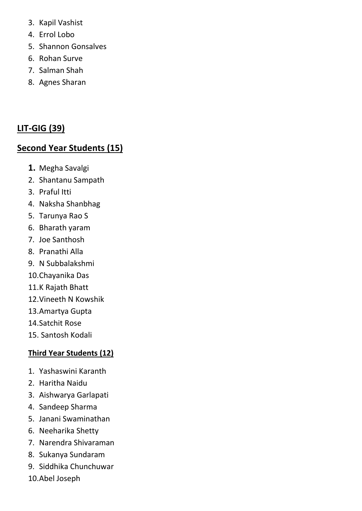- 3. Kapil Vashist
- 4. Errol Lobo
- 5. Shannon Gonsalves
- 6. Rohan Surve
- 7. Salman Shah
- 8. Agnes Sharan

## **LIT-GIG (39)**

## **Second Year Students (15)**

- **1.** Megha Savalgi
- 2. Shantanu Sampath
- 3. Praful Itti
- 4. Naksha Shanbhag
- 5. Tarunya Rao S
- 6. Bharath yaram
- 7. Joe Santhosh
- 8. Pranathi Alla
- 9. N Subbalakshmi
- 10.Chayanika Das
- 11.K Rajath Bhatt
- 12.Vineeth N Kowshik
- 13.Amartya Gupta
- 14.Satchit Rose
- 15. Santosh Kodali

### **Third Year Students (12)**

- 1. Yashaswini Karanth
- 2. Haritha Naidu
- 3. Aishwarya Garlapati
- 4. Sandeep Sharma
- 5. Janani Swaminathan
- 6. Neeharika Shetty
- 7. Narendra Shivaraman
- 8. Sukanya Sundaram
- 9. Siddhika Chunchuwar
- 10.Abel Joseph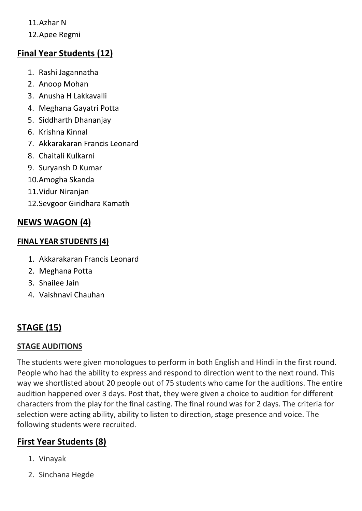11.Azhar N

12.Apee Regmi

## **Final Year Students (12)**

- 1. Rashi Jagannatha
- 2. Anoop Mohan
- 3. Anusha H Lakkavalli
- 4. Meghana Gayatri Potta
- 5. Siddharth Dhananjay
- 6. Krishna Kinnal
- 7. Akkarakaran Francis Leonard
- 8. Chaitali Kulkarni
- 9. Suryansh D Kumar
- 10.Amogha Skanda
- 11.Vidur Niranjan
- 12.Sevgoor Giridhara Kamath

# **NEWS WAGON (4)**

### **FINAL YEAR STUDENTS (4)**

- 1. Akkarakaran Francis Leonard
- 2. Meghana Potta
- 3. Shailee Jain
- 4. Vaishnavi Chauhan

# **STAGE (15)**

### **STAGE AUDITIONS**

The students were given monologues to perform in both English and Hindi in the first round. People who had the ability to express and respond to direction went to the next round. This way we shortlisted about 20 people out of 75 students who came for the auditions. The entire audition happened over 3 days. Post that, they were given a choice to audition for different characters from the play for the final casting. The final round was for 2 days. The criteria for selection were acting ability, ability to listen to direction, stage presence and voice. The following students were recruited.

# **First Year Students (8)**

- 1. Vinayak
- 2. Sinchana Hegde